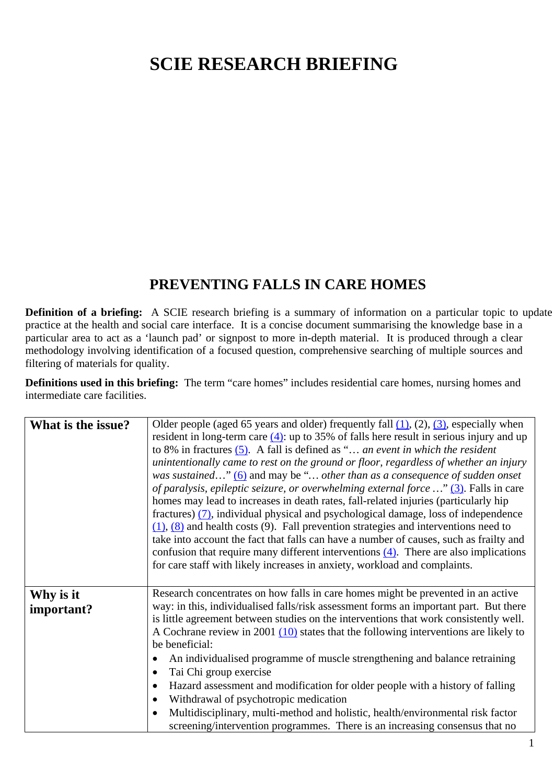## **SCIE RESEARCH BRIEFING**

## **PREVENTING FALLS IN CARE HOMES**

**Definition of a briefing:** A SCIE research briefing is a summary of information on a particular topic to update practice at the health and social care interface. It is a concise document summarising the knowledge base in a particular area to act as a 'launch pad' or signpost to more in-depth material. It is produced through a clear methodology involving identification of a focused question, comprehensive searching of multiple sources and filtering of materials for quality.

**Definitions used in this briefing:** The term "care homes" includes residential care homes, nursing homes and intermediate care facilities.

| What is the issue?      | Older people (aged 65 years and older) frequently fall $(1)$ , $(2)$ , $(3)$ , especially when<br>resident in long-term care $(4)$ : up to 35% of falls here result in serious injury and up<br>to 8% in fractures $(5)$ . A fall is defined as " an event in which the resident<br>unintentionally came to rest on the ground or floor, regardless of whether an injury<br>was sustained" $(6)$ and may be " other than as a consequence of sudden onset<br>of paralysis, epileptic seizure, or overwhelming external force $\ldots$ " (3). Falls in care<br>homes may lead to increases in death rates, fall-related injuries (particularly hip<br>fractures) $(7)$ , individual physical and psychological damage, loss of independence<br>$(1)$ , $(8)$ and health costs (9). Fall prevention strategies and interventions need to<br>take into account the fact that falls can have a number of causes, such as frailty and<br>confusion that require many different interventions $(4)$ . There are also implications<br>for care staff with likely increases in anxiety, workload and complaints. |
|-------------------------|----------------------------------------------------------------------------------------------------------------------------------------------------------------------------------------------------------------------------------------------------------------------------------------------------------------------------------------------------------------------------------------------------------------------------------------------------------------------------------------------------------------------------------------------------------------------------------------------------------------------------------------------------------------------------------------------------------------------------------------------------------------------------------------------------------------------------------------------------------------------------------------------------------------------------------------------------------------------------------------------------------------------------------------------------------------------------------------------------------|
| Why is it<br>important? | Research concentrates on how falls in care homes might be prevented in an active<br>way: in this, individualised falls/risk assessment forms an important part. But there<br>is little agreement between studies on the interventions that work consistently well.<br>A Cochrane review in 2001 $(10)$ states that the following interventions are likely to<br>be beneficial:<br>An individualised programme of muscle strengthening and balance retraining<br>Tai Chi group exercise<br>Hazard assessment and modification for older people with a history of falling<br>٠<br>Withdrawal of psychotropic medication<br>$\bullet$<br>Multidisciplinary, multi-method and holistic, health/environmental risk factor<br>$\bullet$<br>screening/intervention programmes. There is an increasing consensus that no                                                                                                                                                                                                                                                                                         |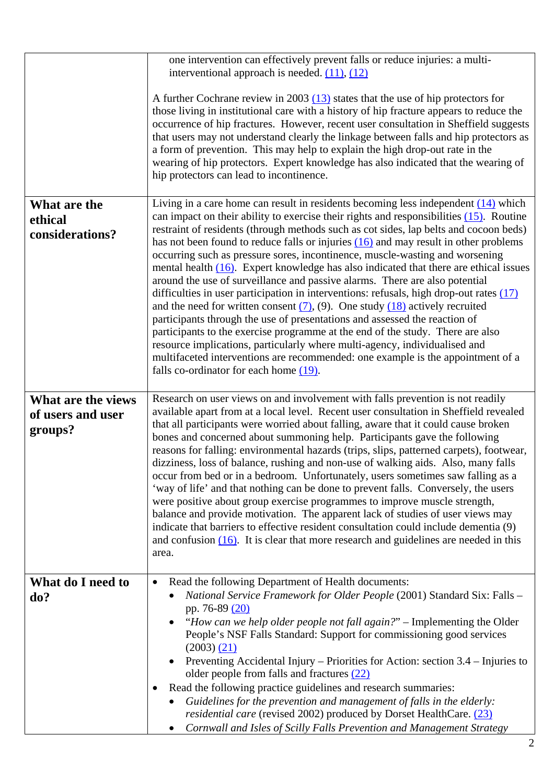|                                                    | one intervention can effectively prevent falls or reduce injuries: a multi-<br>interventional approach is needed. $(11)$ , $(12)$                                                                                                                                                                                                                                                                                                                                                                                                                                                                                                                                                                                                                                                                                                                                                                                                                                                                                                                                                                                                                                                                |
|----------------------------------------------------|--------------------------------------------------------------------------------------------------------------------------------------------------------------------------------------------------------------------------------------------------------------------------------------------------------------------------------------------------------------------------------------------------------------------------------------------------------------------------------------------------------------------------------------------------------------------------------------------------------------------------------------------------------------------------------------------------------------------------------------------------------------------------------------------------------------------------------------------------------------------------------------------------------------------------------------------------------------------------------------------------------------------------------------------------------------------------------------------------------------------------------------------------------------------------------------------------|
|                                                    | A further Cochrane review in 2003 $(13)$ states that the use of hip protectors for<br>those living in institutional care with a history of hip fracture appears to reduce the<br>occurrence of hip fractures. However, recent user consultation in Sheffield suggests<br>that users may not understand clearly the linkage between falls and hip protectors as<br>a form of prevention. This may help to explain the high drop-out rate in the<br>wearing of hip protectors. Expert knowledge has also indicated that the wearing of<br>hip protectors can lead to incontinence.                                                                                                                                                                                                                                                                                                                                                                                                                                                                                                                                                                                                                 |
| What are the<br>ethical<br>considerations?         | Living in a care home can result in residents becoming less independent $(14)$ which<br>can impact on their ability to exercise their rights and responsibilities $(15)$ . Routine<br>restraint of residents (through methods such as cot sides, lap belts and cocoon beds)<br>has not been found to reduce falls or injuries $(16)$ and may result in other problems<br>occurring such as pressure sores, incontinence, muscle-wasting and worsening<br>mental health $(16)$ . Expert knowledge has also indicated that there are ethical issues<br>around the use of surveillance and passive alarms. There are also potential<br>difficulties in user participation in interventions: refusals, high drop-out rates $(17)$<br>and the need for written consent $(7)$ , (9). One study $(18)$ actively recruited<br>participants through the use of presentations and assessed the reaction of<br>participants to the exercise programme at the end of the study. There are also<br>resource implications, particularly where multi-agency, individualised and<br>multifaceted interventions are recommended: one example is the appointment of a<br>falls co-ordinator for each home $(19)$ . |
| What are the views<br>of users and user<br>groups? | Research on user views on and involvement with falls prevention is not readily<br>available apart from at a local level. Recent user consultation in Sheffield revealed<br>that all participants were worried about falling, aware that it could cause broken<br>bones and concerned about summoning help. Participants gave the following<br>reasons for falling: environmental hazards (trips, slips, patterned carpets), footwear,<br>dizziness, loss of balance, rushing and non-use of walking aids. Also, many falls<br>occur from bed or in a bedroom. Unfortunately, users sometimes saw falling as a<br>'way of life' and that nothing can be done to prevent falls. Conversely, the users<br>were positive about group exercise programmes to improve muscle strength,<br>balance and provide motivation. The apparent lack of studies of user views may<br>indicate that barriers to effective resident consultation could include dementia (9)<br>and confusion $(16)$ . It is clear that more research and guidelines are needed in this<br>area.                                                                                                                                   |
| What do I need to<br>do?                           | Read the following Department of Health documents:<br>$\bullet$<br>National Service Framework for Older People (2001) Standard Six: Falls -<br>pp. 76-89 (20)<br>"How can we help older people not fall again?" - Implementing the Older<br>$\bullet$<br>People's NSF Falls Standard: Support for commissioning good services<br>$(2003)$ $(21)$<br>Preventing Accidental Injury – Priorities for Action: section 3.4 – Injuries to<br>older people from falls and fractures (22)<br>Read the following practice guidelines and research summaries:<br>Guidelines for the prevention and management of falls in the elderly:<br>residential care (revised 2002) produced by Dorset HealthCare. (23)<br>Cornwall and Isles of Scilly Falls Prevention and Management Strategy<br>$\bullet$                                                                                                                                                                                                                                                                                                                                                                                                        |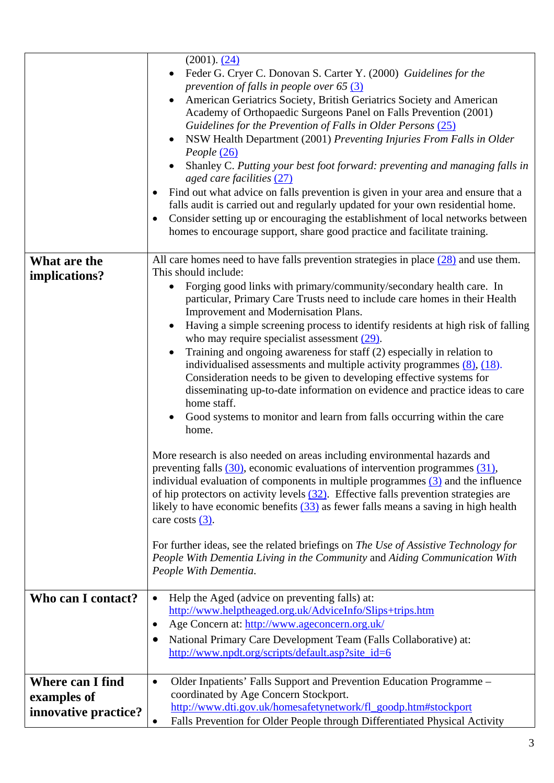|                      | $(2001)$ . $(24)$<br>Feder G. Cryer C. Donovan S. Carter Y. (2000) Guidelines for the<br>prevention of falls in people over 65 $(3)$<br>American Geriatrics Society, British Geriatrics Society and American<br>Academy of Orthopaedic Surgeons Panel on Falls Prevention (2001)<br>Guidelines for the Prevention of Falls in Older Persons (25)<br>NSW Health Department (2001) Preventing Injuries From Falls in Older<br>People (26)<br>Shanley C. Putting your best foot forward: preventing and managing falls in<br>aged care facilities (27)<br>Find out what advice on falls prevention is given in your area and ensure that a<br>$\bullet$<br>falls audit is carried out and regularly updated for your own residential home.<br>Consider setting up or encouraging the establishment of local networks between<br>homes to encourage support, share good practice and facilitate training. |
|----------------------|-------------------------------------------------------------------------------------------------------------------------------------------------------------------------------------------------------------------------------------------------------------------------------------------------------------------------------------------------------------------------------------------------------------------------------------------------------------------------------------------------------------------------------------------------------------------------------------------------------------------------------------------------------------------------------------------------------------------------------------------------------------------------------------------------------------------------------------------------------------------------------------------------------|
| What are the         | All care homes need to have falls prevention strategies in place $(28)$ and use them.                                                                                                                                                                                                                                                                                                                                                                                                                                                                                                                                                                                                                                                                                                                                                                                                                 |
| implications?        | This should include:                                                                                                                                                                                                                                                                                                                                                                                                                                                                                                                                                                                                                                                                                                                                                                                                                                                                                  |
|                      | Forging good links with primary/community/secondary health care. In                                                                                                                                                                                                                                                                                                                                                                                                                                                                                                                                                                                                                                                                                                                                                                                                                                   |
|                      | particular, Primary Care Trusts need to include care homes in their Health                                                                                                                                                                                                                                                                                                                                                                                                                                                                                                                                                                                                                                                                                                                                                                                                                            |
|                      | Improvement and Modernisation Plans.                                                                                                                                                                                                                                                                                                                                                                                                                                                                                                                                                                                                                                                                                                                                                                                                                                                                  |
|                      | Having a simple screening process to identify residents at high risk of falling<br>$\bullet$                                                                                                                                                                                                                                                                                                                                                                                                                                                                                                                                                                                                                                                                                                                                                                                                          |
|                      | who may require specialist assessment $(29)$ .                                                                                                                                                                                                                                                                                                                                                                                                                                                                                                                                                                                                                                                                                                                                                                                                                                                        |
|                      | Training and ongoing awareness for staff (2) especially in relation to<br>$\bullet$                                                                                                                                                                                                                                                                                                                                                                                                                                                                                                                                                                                                                                                                                                                                                                                                                   |
|                      | individualised assessments and multiple activity programmes $(8)$ , $(18)$ .                                                                                                                                                                                                                                                                                                                                                                                                                                                                                                                                                                                                                                                                                                                                                                                                                          |
|                      | Consideration needs to be given to developing effective systems for<br>disseminating up-to-date information on evidence and practice ideas to care                                                                                                                                                                                                                                                                                                                                                                                                                                                                                                                                                                                                                                                                                                                                                    |
|                      | home staff.                                                                                                                                                                                                                                                                                                                                                                                                                                                                                                                                                                                                                                                                                                                                                                                                                                                                                           |
|                      | Good systems to monitor and learn from falls occurring within the care                                                                                                                                                                                                                                                                                                                                                                                                                                                                                                                                                                                                                                                                                                                                                                                                                                |
|                      | home.                                                                                                                                                                                                                                                                                                                                                                                                                                                                                                                                                                                                                                                                                                                                                                                                                                                                                                 |
|                      |                                                                                                                                                                                                                                                                                                                                                                                                                                                                                                                                                                                                                                                                                                                                                                                                                                                                                                       |
|                      | More research is also needed on areas including environmental hazards and                                                                                                                                                                                                                                                                                                                                                                                                                                                                                                                                                                                                                                                                                                                                                                                                                             |
|                      | preventing falls $(30)$ , economic evaluations of intervention programmes $(31)$ ,                                                                                                                                                                                                                                                                                                                                                                                                                                                                                                                                                                                                                                                                                                                                                                                                                    |
|                      | individual evaluation of components in multiple programmes $(3)$ and the influence                                                                                                                                                                                                                                                                                                                                                                                                                                                                                                                                                                                                                                                                                                                                                                                                                    |
|                      | of hip protectors on activity levels $(32)$ . Effective falls prevention strategies are                                                                                                                                                                                                                                                                                                                                                                                                                                                                                                                                                                                                                                                                                                                                                                                                               |
|                      | likely to have economic benefits $(33)$ as fewer falls means a saving in high health                                                                                                                                                                                                                                                                                                                                                                                                                                                                                                                                                                                                                                                                                                                                                                                                                  |
|                      | care costs $(3)$ .                                                                                                                                                                                                                                                                                                                                                                                                                                                                                                                                                                                                                                                                                                                                                                                                                                                                                    |
|                      | For further ideas, see the related briefings on The Use of Assistive Technology for                                                                                                                                                                                                                                                                                                                                                                                                                                                                                                                                                                                                                                                                                                                                                                                                                   |
|                      | People With Dementia Living in the Community and Aiding Communication With                                                                                                                                                                                                                                                                                                                                                                                                                                                                                                                                                                                                                                                                                                                                                                                                                            |
|                      | People With Dementia.                                                                                                                                                                                                                                                                                                                                                                                                                                                                                                                                                                                                                                                                                                                                                                                                                                                                                 |
|                      |                                                                                                                                                                                                                                                                                                                                                                                                                                                                                                                                                                                                                                                                                                                                                                                                                                                                                                       |
| Who can I contact?   | Help the Aged (advice on preventing falls) at:                                                                                                                                                                                                                                                                                                                                                                                                                                                                                                                                                                                                                                                                                                                                                                                                                                                        |
|                      | http://www.helptheaged.org.uk/AdviceInfo/Slips+trips.htm                                                                                                                                                                                                                                                                                                                                                                                                                                                                                                                                                                                                                                                                                                                                                                                                                                              |
|                      | Age Concern at: http://www.ageconcern.org.uk/                                                                                                                                                                                                                                                                                                                                                                                                                                                                                                                                                                                                                                                                                                                                                                                                                                                         |
|                      | National Primary Care Development Team (Falls Collaborative) at:                                                                                                                                                                                                                                                                                                                                                                                                                                                                                                                                                                                                                                                                                                                                                                                                                                      |
|                      | http://www.npdt.org/scripts/default.asp?site_id=6                                                                                                                                                                                                                                                                                                                                                                                                                                                                                                                                                                                                                                                                                                                                                                                                                                                     |
|                      |                                                                                                                                                                                                                                                                                                                                                                                                                                                                                                                                                                                                                                                                                                                                                                                                                                                                                                       |
| Where can I find     | Older Inpatients' Falls Support and Prevention Education Programme -<br>٠                                                                                                                                                                                                                                                                                                                                                                                                                                                                                                                                                                                                                                                                                                                                                                                                                             |
| examples of          | coordinated by Age Concern Stockport.                                                                                                                                                                                                                                                                                                                                                                                                                                                                                                                                                                                                                                                                                                                                                                                                                                                                 |
| innovative practice? | http://www.dti.gov.uk/homesafetynetwork/fl_goodp.htm#stockport                                                                                                                                                                                                                                                                                                                                                                                                                                                                                                                                                                                                                                                                                                                                                                                                                                        |
|                      | Falls Prevention for Older People through Differentiated Physical Activity                                                                                                                                                                                                                                                                                                                                                                                                                                                                                                                                                                                                                                                                                                                                                                                                                            |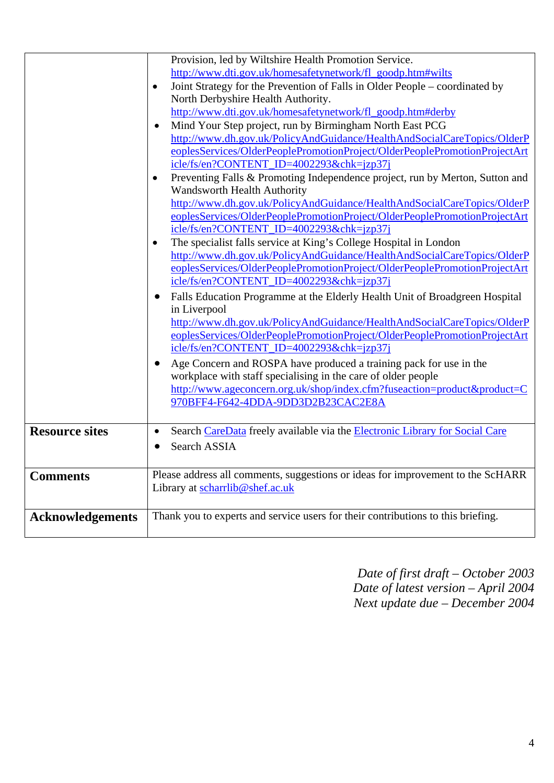|                         | Provision, led by Wiltshire Health Promotion Service.<br>http://www.dti.gov.uk/homesafetynetwork/fl_goodp.htm#wilts<br>Joint Strategy for the Prevention of Falls in Older People – coordinated by<br>$\bullet$<br>North Derbyshire Health Authority.<br>http://www.dti.gov.uk/homesafetynetwork/fl_goodp.htm#derby<br>Mind Your Step project, run by Birmingham North East PCG<br>$\bullet$<br>http://www.dh.gov.uk/PolicyAndGuidance/HealthAndSocialCareTopics/OlderP<br>eoplesServices/OlderPeoplePromotionProject/OlderPeoplePromotionProjectArt<br>icle/fs/en?CONTENT_ID=4002293&chk=jzp37j<br>Preventing Falls & Promoting Independence project, run by Merton, Sutton and<br>٠<br>Wandsworth Health Authority                                                                           |
|-------------------------|------------------------------------------------------------------------------------------------------------------------------------------------------------------------------------------------------------------------------------------------------------------------------------------------------------------------------------------------------------------------------------------------------------------------------------------------------------------------------------------------------------------------------------------------------------------------------------------------------------------------------------------------------------------------------------------------------------------------------------------------------------------------------------------------|
|                         | http://www.dh.gov.uk/PolicyAndGuidance/HealthAndSocialCareTopics/OlderP<br>eoplesServices/OlderPeoplePromotionProject/OlderPeoplePromotionProjectArt<br>icle/fs/en?CONTENT_ID=4002293&chk=jzp37j<br>The specialist falls service at King's College Hospital in London<br>٠<br>http://www.dh.gov.uk/PolicyAndGuidance/HealthAndSocialCareTopics/OlderP<br>eoplesServices/OlderPeoplePromotionProject/OlderPeoplePromotionProjectArt<br>icle/fs/en?CONTENT_ID=4002293&chk=jzp37j<br>Falls Education Programme at the Elderly Health Unit of Broadgreen Hospital<br>$\bullet$<br>in Liverpool<br>http://www.dh.gov.uk/PolicyAndGuidance/HealthAndSocialCareTopics/OlderP<br>eoplesServices/OlderPeoplePromotionProject/OlderPeoplePromotionProjectArt<br>icle/fs/en?CONTENT_ID=4002293&chk=jzp37j |
|                         | Age Concern and ROSPA have produced a training pack for use in the<br>workplace with staff specialising in the care of older people<br>http://www.ageconcern.org.uk/shop/index.cfm?fuseaction=product&product=C<br>970BFF4-F642-4DDA-9DD3D2B23CAC2E8A                                                                                                                                                                                                                                                                                                                                                                                                                                                                                                                                          |
| <b>Resource sites</b>   | Search CareData freely available via the Electronic Library for Social Care<br>$\bullet$<br>Search ASSIA                                                                                                                                                                                                                                                                                                                                                                                                                                                                                                                                                                                                                                                                                       |
| <b>Comments</b>         | Please address all comments, suggestions or ideas for improvement to the ScHARR<br>Library at scharrlib@shef.ac.uk                                                                                                                                                                                                                                                                                                                                                                                                                                                                                                                                                                                                                                                                             |
| <b>Acknowledgements</b> | Thank you to experts and service users for their contributions to this briefing.                                                                                                                                                                                                                                                                                                                                                                                                                                                                                                                                                                                                                                                                                                               |

*Date of first draft – October 2003 Date of latest version – April 2004 Next update due – December 2004*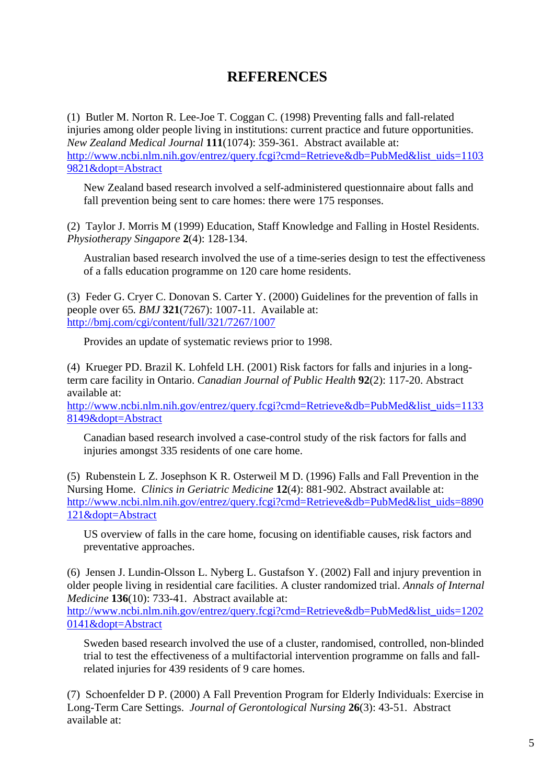## **REFERENCES**

(1) Butler M. Norton R. Lee-Joe T. Coggan C. (1998) Preventing falls and fall-related injuries among older people living in institutions: current practice and future opportunities. *New Zealand Medical Journal* **111**(1074): 359-361. Abstract available at: http://www.ncbi.nlm.nih.gov/entrez/query.fcgi?cmd=Retrieve&db=PubMed&list\_uids=1103 9821&dopt=Abstract

New Zealand based research involved a self-administered questionnaire about falls and fall prevention being sent to care homes: there were 175 responses.

(2) Taylor J. Morris M (1999) Education, Staff Knowledge and Falling in Hostel Residents. *Physiotherapy Singapore* **2**(4): 128-134.

Australian based research involved the use of a time-series design to test the effectiveness of a falls education programme on 120 care home residents.

(3) Feder G. Cryer C. Donovan S. Carter Y. (2000) Guidelines for the prevention of falls in people over 65*. BMJ* **321**(7267): 1007-11. Available at: http://bmj.com/cgi/content/full/321/7267/1007

Provides an update of systematic reviews prior to 1998.

(4) Krueger PD. Brazil K. Lohfeld LH. (2001) Risk factors for falls and injuries in a longterm care facility in Ontario. *Canadian Journal of Public Health* **92**(2): 117-20. Abstract available at:

http://www.ncbi.nlm.nih.gov/entrez/query.fcgi?cmd=Retrieve&db=PubMed&list\_uids=1133 8149&dopt=Abstract

Canadian based research involved a case-control study of the risk factors for falls and injuries amongst 335 residents of one care home.

(5) Rubenstein L Z. Josephson K R. Osterweil M D. (1996) Falls and Fall Prevention in the Nursing Home. *Clinics in Geriatric Medicine* **12**(4): 881-902. Abstract available at: http://www.ncbi.nlm.nih.gov/entrez/query.fcgi?cmd=Retrieve&db=PubMed&list\_uids=8890 121&dopt=Abstract

US overview of falls in the care home, focusing on identifiable causes, risk factors and preventative approaches.

(6) Jensen J. Lundin-Olsson L. Nyberg L. Gustafson Y. (2002) Fall and injury prevention in older people living in residential care facilities. A cluster randomized trial. *Annals of Internal Medicine* **136**(10): 733-41. Abstract available at:

http://www.ncbi.nlm.nih.gov/entrez/query.fcgi?cmd=Retrieve&db=PubMed&list\_uids=1202 0141&dopt=Abstract

Sweden based research involved the use of a cluster, randomised, controlled, non-blinded trial to test the effectiveness of a multifactorial intervention programme on falls and fallrelated injuries for 439 residents of 9 care homes.

(7) Schoenfelder D P. (2000) A Fall Prevention Program for Elderly Individuals: Exercise in Long-Term Care Settings. *Journal of Gerontological Nursing* **26**(3): 43-51. Abstract available at: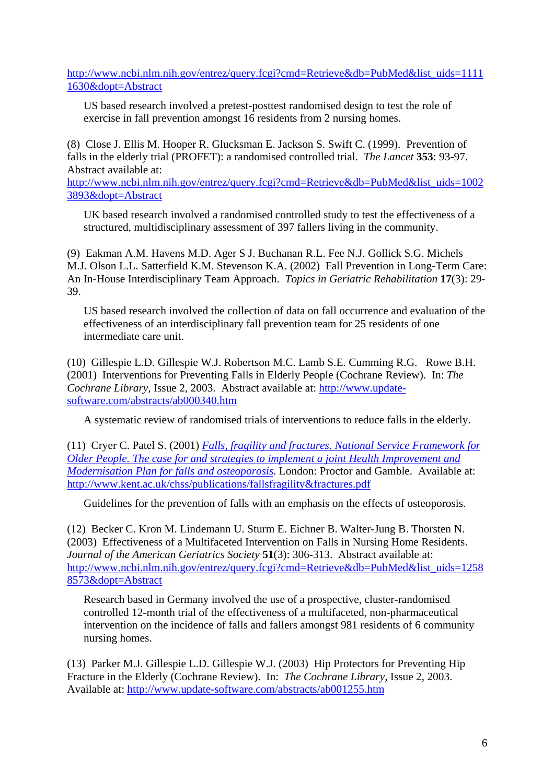http://www.ncbi.nlm.nih.gov/entrez/query.fcgi?cmd=Retrieve&db=PubMed&list\_uids=1111 1630&dopt=Abstract

US based research involved a pretest-posttest randomised design to test the role of exercise in fall prevention amongst 16 residents from 2 nursing homes.

(8) Close J. Ellis M. Hooper R. Glucksman E. Jackson S. Swift C. (1999). Prevention of falls in the elderly trial (PROFET): a randomised controlled trial. *The Lancet* **353**: 93-97. Abstract available at:

http://www.ncbi.nlm.nih.gov/entrez/query.fcgi?cmd=Retrieve&db=PubMed&list\_uids=1002 3893&dopt=Abstract

UK based research involved a randomised controlled study to test the effectiveness of a structured, multidisciplinary assessment of 397 fallers living in the community.

(9) Eakman A.M. Havens M.D. Ager S J. Buchanan R.L. Fee N.J. Gollick S.G. Michels M.J. Olson L.L. Satterfield K.M. Stevenson K.A. (2002) Fall Prevention in Long-Term Care: An In-House Interdisciplinary Team Approach. *Topics in Geriatric Rehabilitation* **17**(3): 29- 39.

US based research involved the collection of data on fall occurrence and evaluation of the effectiveness of an interdisciplinary fall prevention team for 25 residents of one intermediate care unit.

(10) Gillespie L.D. Gillespie W.J. Robertson M.C. Lamb S.E. Cumming R.G. Rowe B.H. (2001) Interventions for Preventing Falls in Elderly People (Cochrane Review). In: *The Cochrane Library*, Issue 2, 2003. Abstract available at: http://www.updatesoftware.com/abstracts/ab000340.htm

A systematic review of randomised trials of interventions to reduce falls in the elderly.

(11) Cryer C. Patel S. (2001) *Falls, fragility and fractures. National Service Framework for Older People. The case for and strategies to implement a joint Health Improvement and Modernisation Plan for falls and osteoporosis*. London: Proctor and Gamble. Available at: http://www.kent.ac.uk/chss/publications/fallsfragility&fractures.pdf

Guidelines for the prevention of falls with an emphasis on the effects of osteoporosis.

(12) Becker C. Kron M. Lindemann U. Sturm E. Eichner B. Walter-Jung B. Thorsten N. (2003) Effectiveness of a Multifaceted Intervention on Falls in Nursing Home Residents. *Journal of the American Geriatrics Society* **51**(3): 306-313. Abstract available at: http://www.ncbi.nlm.nih.gov/entrez/query.fcgi?cmd=Retrieve&db=PubMed&list\_uids=1258 8573&dopt=Abstract

Research based in Germany involved the use of a prospective, cluster-randomised controlled 12-month trial of the effectiveness of a multifaceted, non-pharmaceutical intervention on the incidence of falls and fallers amongst 981 residents of 6 community nursing homes.

(13) Parker M.J. Gillespie L.D. Gillespie W.J. (2003) Hip Protectors for Preventing Hip Fracture in the Elderly (Cochrane Review). In: *The Cochrane Library,* Issue 2, 2003. Available at: http://www.update-software.com/abstracts/ab001255.htm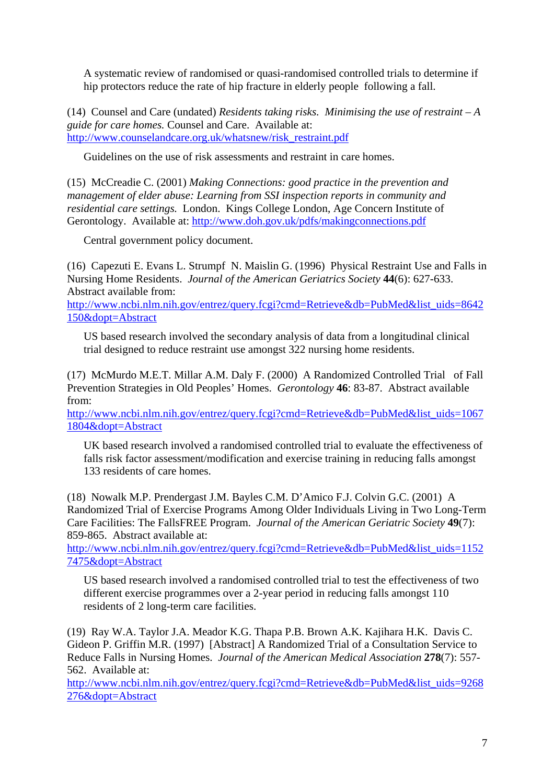A systematic review of randomised or quasi-randomised controlled trials to determine if hip protectors reduce the rate of hip fracture in elderly people following a fall.

(14) Counsel and Care (undated) *Residents taking risks. Minimising the use of restraint – A guide for care homes.* Counsel and Care. Available at: http://www.counselandcare.org.uk/whatsnew/risk\_restraint.pdf

Guidelines on the use of risk assessments and restraint in care homes.

(15) McCreadie C. (2001) *Making Connections: good practice in the prevention and management of elder abuse: Learning from SSI inspection reports in community and residential care settings.* London. Kings College London, Age Concern Institute of Gerontology. Available at: http://www.doh.gov.uk/pdfs/makingconnections.pdf

Central government policy document.

(16) Capezuti E. Evans L. Strumpf N. Maislin G. (1996) Physical Restraint Use and Falls in Nursing Home Residents. *Journal of the American Geriatrics Society* **44**(6): 627-633. Abstract available from:

http://www.ncbi.nlm.nih.gov/entrez/query.fcgi?cmd=Retrieve&db=PubMed&list\_uids=8642 150&dopt=Abstract

US based research involved the secondary analysis of data from a longitudinal clinical trial designed to reduce restraint use amongst 322 nursing home residents.

(17) McMurdo M.E.T. Millar A.M. Daly F. (2000) A Randomized Controlled Trial of Fall Prevention Strategies in Old Peoples' Homes. *Gerontology* **46**: 83-87. Abstract available from:

http://www.ncbi.nlm.nih.gov/entrez/query.fcgi?cmd=Retrieve&db=PubMed&list\_uids=1067 1804&dopt=Abstract

UK based research involved a randomised controlled trial to evaluate the effectiveness of falls risk factor assessment/modification and exercise training in reducing falls amongst 133 residents of care homes.

(18) Nowalk M.P. Prendergast J.M. Bayles C.M. D'Amico F.J. Colvin G.C. (2001) A Randomized Trial of Exercise Programs Among Older Individuals Living in Two Long-Term Care Facilities: The FallsFREE Program. *Journal of the American Geriatric Society* **49**(7): 859-865. Abstract available at:

http://www.ncbi.nlm.nih.gov/entrez/query.fcgi?cmd=Retrieve&db=PubMed&list\_uids=1152 7475&dopt=Abstract

US based research involved a randomised controlled trial to test the effectiveness of two different exercise programmes over a 2-year period in reducing falls amongst 110 residents of 2 long-term care facilities.

(19) Ray W.A. Taylor J.A. Meador K.G. Thapa P.B. Brown A.K. Kajihara H.K. Davis C. Gideon P. Griffin M.R. (1997) [Abstract] A Randomized Trial of a Consultation Service to Reduce Falls in Nursing Homes. *Journal of the American Medical Association* **278**(7): 557- 562. Available at:

http://www.ncbi.nlm.nih.gov/entrez/query.fcgi?cmd=Retrieve&db=PubMed&list\_uids=9268 276&dopt=Abstract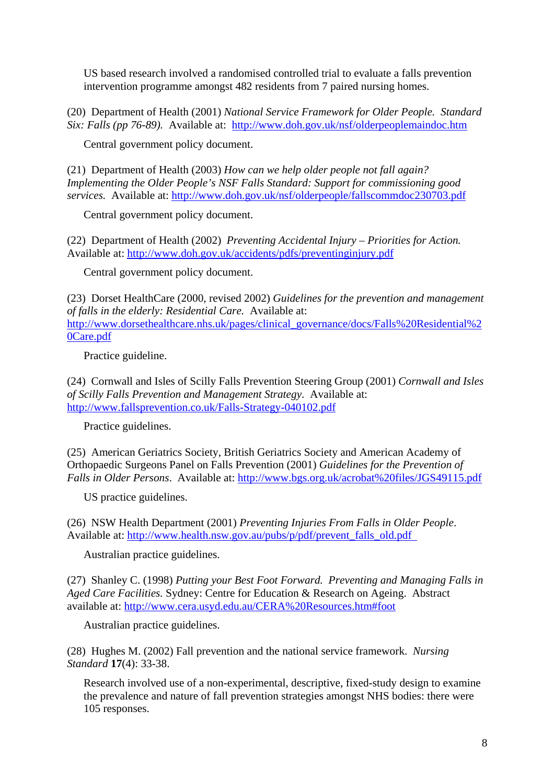US based research involved a randomised controlled trial to evaluate a falls prevention intervention programme amongst 482 residents from 7 paired nursing homes.

(20) Department of Health (2001) *National Service Framework for Older People. Standard Six: Falls (pp 76-89).* Available at: http://www.doh.gov.uk/nsf/olderpeoplemaindoc.htm

Central government policy document.

(21) Department of Health (2003) *How can we help older people not fall again? Implementing the Older People's NSF Falls Standard: Support for commissioning good services.* Available at: http://www.doh.gov.uk/nsf/olderpeople/fallscommdoc230703.pdf

Central government policy document.

(22) Department of Health (2002) *Preventing Accidental Injury – Priorities for Action.* Available at: http://www.doh.gov.uk/accidents/pdfs/preventinginjury.pdf

Central government policy document.

(23) Dorset HealthCare (2000, revised 2002) *Guidelines for the prevention and management of falls in the elderly: Residential Care.* Available at: http://www.dorsethealthcare.nhs.uk/pages/clinical\_governance/docs/Falls%20Residential%2 0Care.pdf

Practice guideline.

(24) Cornwall and Isles of Scilly Falls Prevention Steering Group (2001) *Cornwall and Isles of Scilly Falls Prevention and Management Strategy*. Available at: http://www.fallsprevention.co.uk/Falls-Strategy-040102.pdf

Practice guidelines.

(25) American Geriatrics Society, British Geriatrics Society and American Academy of Orthopaedic Surgeons Panel on Falls Prevention (2001) *Guidelines for the Prevention of Falls in Older Persons*. Available at: http://www.bgs.org.uk/acrobat%20files/JGS49115.pdf

US practice guidelines.

(26) NSW Health Department (2001) *Preventing Injuries From Falls in Older People*. Available at: http://www.health.nsw.gov.au/pubs/p/pdf/prevent\_falls\_old.pdf

Australian practice guidelines.

(27) Shanley C. (1998) *Putting your Best Foot Forward. Preventing and Managing Falls in Aged Care Facilities.* Sydney: Centre for Education & Research on Ageing. Abstract available at: http://www.cera.usyd.edu.au/CERA%20Resources.htm#foot

Australian practice guidelines.

(28) Hughes M. (2002) Fall prevention and the national service framework. *Nursing Standard* **17**(4): 33-38.

Research involved use of a non-experimental, descriptive, fixed-study design to examine the prevalence and nature of fall prevention strategies amongst NHS bodies: there were 105 responses.